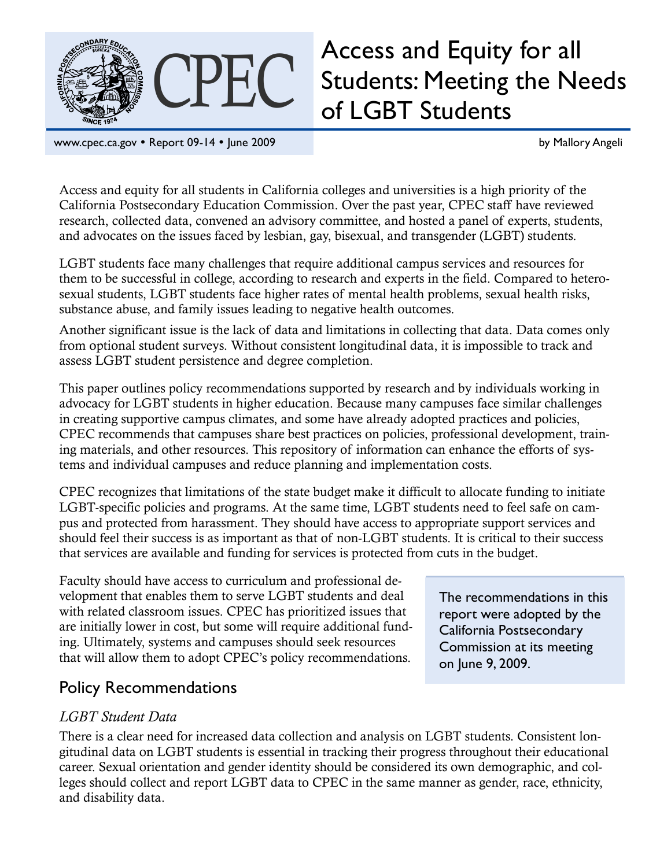

# CPEC Access and Equity for all<br>CPEC Students: Meeting the Ne Students: Meeting the Needs of LGBT Students

www.cpec.ca.gov • Report 09-14 • June 2009 by Mallory Angeli

Access and equity for all students in California colleges and universities is a high priority of the California Postsecondary Education Commission. Over the past year, CPEC staff have reviewed research, collected data, convened an advisory committee, and hosted a panel of experts, students, and advocates on the issues faced by lesbian, gay, bisexual, and transgender (LGBT) students.

LGBT students face many challenges that require additional campus services and resources for them to be successful in college, according to research and experts in the field. Compared to heterosexual students, LGBT students face higher rates of mental health problems, sexual health risks, substance abuse, and family issues leading to negative health outcomes.

Another significant issue is the lack of data and limitations in collecting that data. Data comes only from optional student surveys. Without consistent longitudinal data, it is impossible to track and assess LGBT student persistence and degree completion.

This paper outlines policy recommendations supported by research and by individuals working in advocacy for LGBT students in higher education. Because many campuses face similar challenges in creating supportive campus climates, and some have already adopted practices and policies, CPEC recommends that campuses share best practices on policies, professional development, training materials, and other resources. This repository of information can enhance the efforts of systems and individual campuses and reduce planning and implementation costs.

CPEC recognizes that limitations of the state budget make it difficult to allocate funding to initiate LGBT-specific policies and programs. At the same time, LGBT students need to feel safe on campus and protected from harassment. They should have access to appropriate support services and should feel their success is as important as that of non-LGBT students. It is critical to their success that services are available and funding for services is protected from cuts in the budget.

Faculty should have access to curriculum and professional development that enables them to serve LGBT students and deal with related classroom issues. CPEC has prioritized issues that are initially lower in cost, but some will require additional funding. Ultimately, systems and campuses should seek resources that will allow them to adopt CPEC's policy recommendations.

# Policy Recommendations

## *LGBT Student Data*

There is a clear need for increased data collection and analysis on LGBT students. Consistent longitudinal data on LGBT students is essential in tracking their progress throughout their educational career. Sexual orientation and gender identity should be considered its own demographic, and colleges should collect and report LGBT data to CPEC in the same manner as gender, race, ethnicity, and disability data.

The recommendations in this report were adopted by the California Postsecondary Commission at its meeting on June 9, 2009.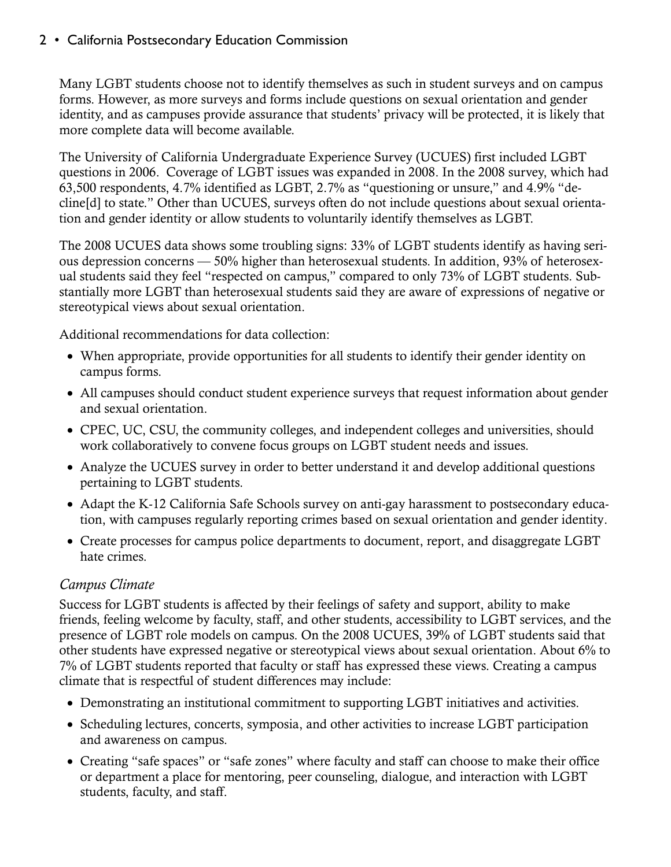Many LGBT students choose not to identify themselves as such in student surveys and on campus forms. However, as more surveys and forms include questions on sexual orientation and gender identity, and as campuses provide assurance that students' privacy will be protected, it is likely that more complete data will become available.

The University of California Undergraduate Experience Survey (UCUES) first included LGBT questions in 2006. Coverage of LGBT issues was expanded in 2008. In the 2008 survey, which had 63,500 respondents, 4.7% identified as LGBT, 2.7% as "questioning or unsure," and 4.9% "decline[d] to state." Other than UCUES, surveys often do not include questions about sexual orientation and gender identity or allow students to voluntarily identify themselves as LGBT.

The 2008 UCUES data shows some troubling signs: 33% of LGBT students identify as having serious depression concerns — 50% higher than heterosexual students. In addition, 93% of heterosexual students said they feel "respected on campus," compared to only 73% of LGBT students. Substantially more LGBT than heterosexual students said they are aware of expressions of negative or stereotypical views about sexual orientation.

Additional recommendations for data collection:

- When appropriate, provide opportunities for all students to identify their gender identity on campus forms.
- All campuses should conduct student experience surveys that request information about gender and sexual orientation.
- CPEC, UC, CSU, the community colleges, and independent colleges and universities, should work collaboratively to convene focus groups on LGBT student needs and issues.
- Analyze the UCUES survey in order to better understand it and develop additional questions pertaining to LGBT students.
- Adapt the K-12 California Safe Schools survey on anti-gay harassment to postsecondary education, with campuses regularly reporting crimes based on sexual orientation and gender identity.
- Create processes for campus police departments to document, report, and disaggregate LGBT hate crimes.

## *Campus Climate*

Success for LGBT students is affected by their feelings of safety and support, ability to make friends, feeling welcome by faculty, staff, and other students, accessibility to LGBT services, and the presence of LGBT role models on campus. On the 2008 UCUES, 39% of LGBT students said that other students have expressed negative or stereotypical views about sexual orientation. About 6% to 7% of LGBT students reported that faculty or staff has expressed these views. Creating a campus climate that is respectful of student differences may include:

- Demonstrating an institutional commitment to supporting LGBT initiatives and activities.
- Scheduling lectures, concerts, symposia, and other activities to increase LGBT participation and awareness on campus.
- Creating "safe spaces" or "safe zones" where faculty and staff can choose to make their office or department a place for mentoring, peer counseling, dialogue, and interaction with LGBT students, faculty, and staff.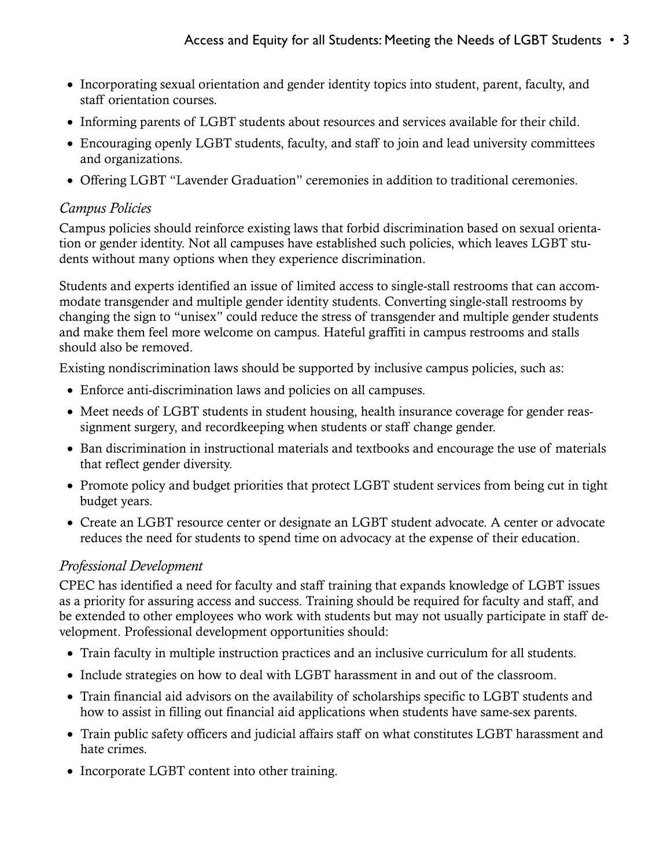- Incorporating sexual orientation and gender identity topics into student, parent, faculty, and staff orientation courses.
- Informing parents of LGBT students about resources and services available for their child.
- Encouraging openly LGBT students, faculty, and staff to join and lead university committees and organizations.
- Offering LGBT "Lavender Graduation" ceremonies in addition to traditional ceremonies.

#### *Campus Policies*

Campus policies should reinforce existing laws that forbid discrimination based on sexual orientation or gender identity. Not all campuses have established such policies, which leaves LGBT students without many options when they experience discrimination.

Students and experts identified an issue of limited access to single-stall restrooms that can accommodate transgender and multiple gender identity students. Converting single-stall restrooms by changing the sign to "unisex" could reduce the stress of transgender and multiple gender students and make them feel more welcome on campus. Hateful graffiti in campus restrooms and stalls should also be removed.

Existing nondiscrimination laws should be supported by inclusive campus policies, such as:

- Enforce anti-discrimination laws and policies on all campuses.
- Meet needs of LGBT students in student housing, health insurance coverage for gender reassignment surgery, and recordkeeping when students or staff change gender.
- Ban discrimination in instructional materials and textbooks and encourage the use of materials that reflect gender diversity.
- Promote policy and budget priorities that protect LGBT student services from being cut in tight budget years.
- Create an LGBT resource center or designate an LGBT student advocate. A center or advocate reduces the need for students to spend time on advocacy at the expense of their education.

## *Professional Development*

CPEC has identified a need for faculty and staff training that expands knowledge of LGBT issues as a priority for assuring access and success. Training should be required for faculty and staff, and be extended to other employees who work with students but may not usually participate in staff development. Professional development opportunities should:

- Train faculty in multiple instruction practices and an inclusive curriculum for all students.
- Include strategies on how to deal with LGBT harassment in and out of the classroom.
- Train financial aid advisors on the availability of scholarships specific to LGBT students and how to assist in filling out financial aid applications when students have same-sex parents.
- Train public safety officers and judicial affairs staff on what constitutes LGBT harassment and hate crimes.
- Incorporate LGBT content into other training.